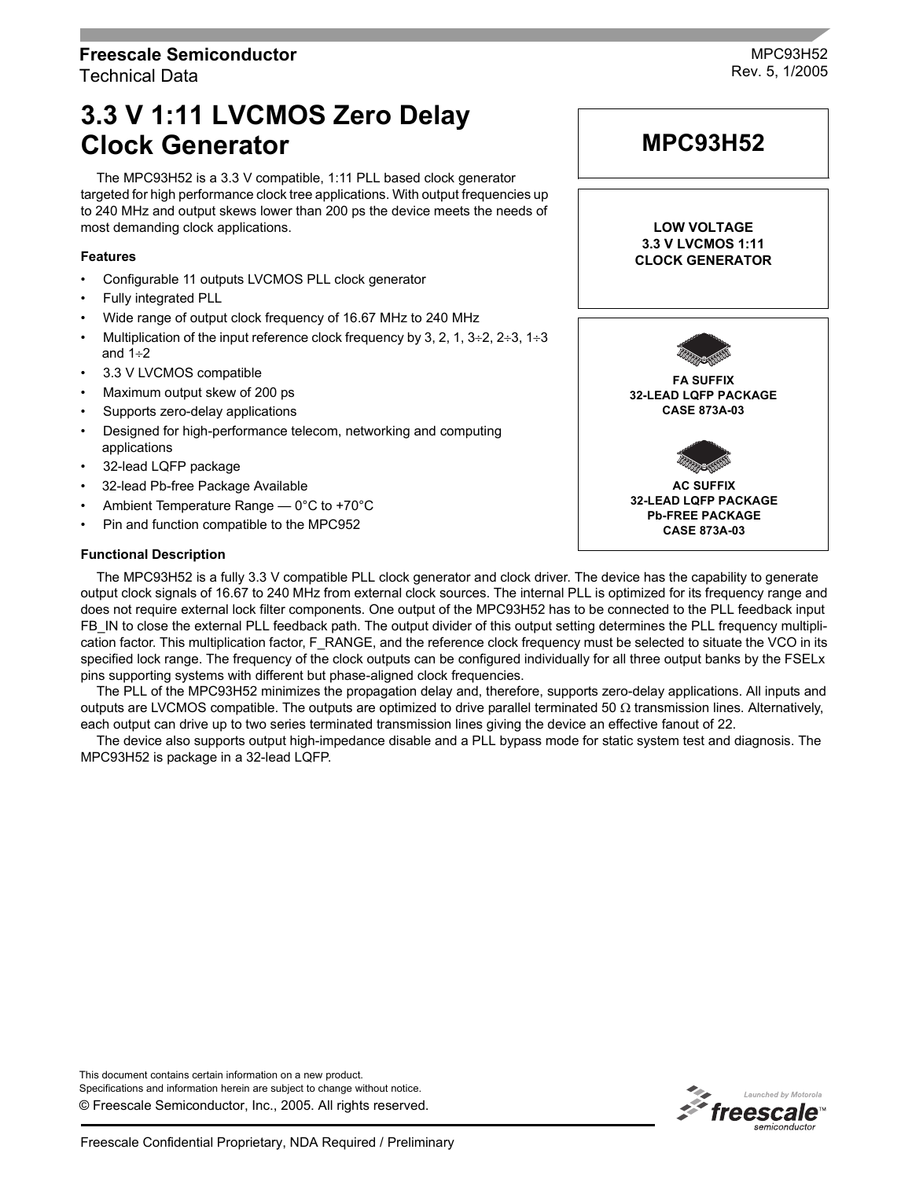# **Freescale Semiconductor** Technical Data

MPC93H52 Rev. 5, 1/2005

# **3.3 V 1:11 LVCMOS Zero Delay Clock Generator**

The MPC93H52 is a 3.3 V compatible, 1:11 PLL based clock generator targeted for high performance clock tree applications. With output frequencies up to 240 MHz and output skews lower than 200 ps the device meets the needs of most demanding clock applications.

# **Features**

- Configurable 11 outputs LVCMOS PLL clock generator
- Fully integrated PLL
- Wide range of output clock frequency of 16.67 MHz to 240 MHz
- Multiplication of the input reference clock frequency by 3, 2, 1,  $3\div 2$ ,  $2\div 3$ ,  $1\div 3$ and 1÷2
- 3.3 V LVCMOS compatible
- Maximum output skew of 200 ps
- Supports zero-delay applications
- Designed for high-performance telecom, networking and computing applications
- 32-lead LQFP package
- 32-lead Pb-free Package Available
- Ambient Temperature Range  $-$  0°C to +70°C
- Pin and function compatible to the MPC952

# **Functional Description**

The MPC93H52 is a fully 3.3 V compatible PLL clock generator and clock driver. The device has the capability to generate output clock signals of 16.67 to 240 MHz from external clock sources. The internal PLL is optimized for its frequency range and does not require external lock filter components. One output of the MPC93H52 has to be connected to the PLL feedback input FB IN to close the external PLL feedback path. The output divider of this output setting determines the PLL frequency multiplication factor. This multiplication factor, F\_RANGE, and the reference clock frequency must be selected to situate the VCO in its specified lock range. The frequency of the clock outputs can be configured individually for all three output banks by the FSELx pins supporting systems with different but phase-aligned clock frequencies.

The PLL of the MPC93H52 minimizes the propagation delay and, therefore, supports zero-delay applications. All inputs and outputs are LVCMOS compatible. The outputs are optimized to drive parallel terminated 50 Ω transmission lines. Alternatively, each output can drive up to two series terminated transmission lines giving the device an effective fanout of 22.

The device also supports output high-impedance disable and a PLL bypass mode for static system test and diagnosis. The MPC93H52 is package in a 32-lead LQFP.

© Freescale Semiconductor, Inc., 2005. All rights reserved. This document contains certain information on a new product. Specifications and information herein are subject to change without notice.



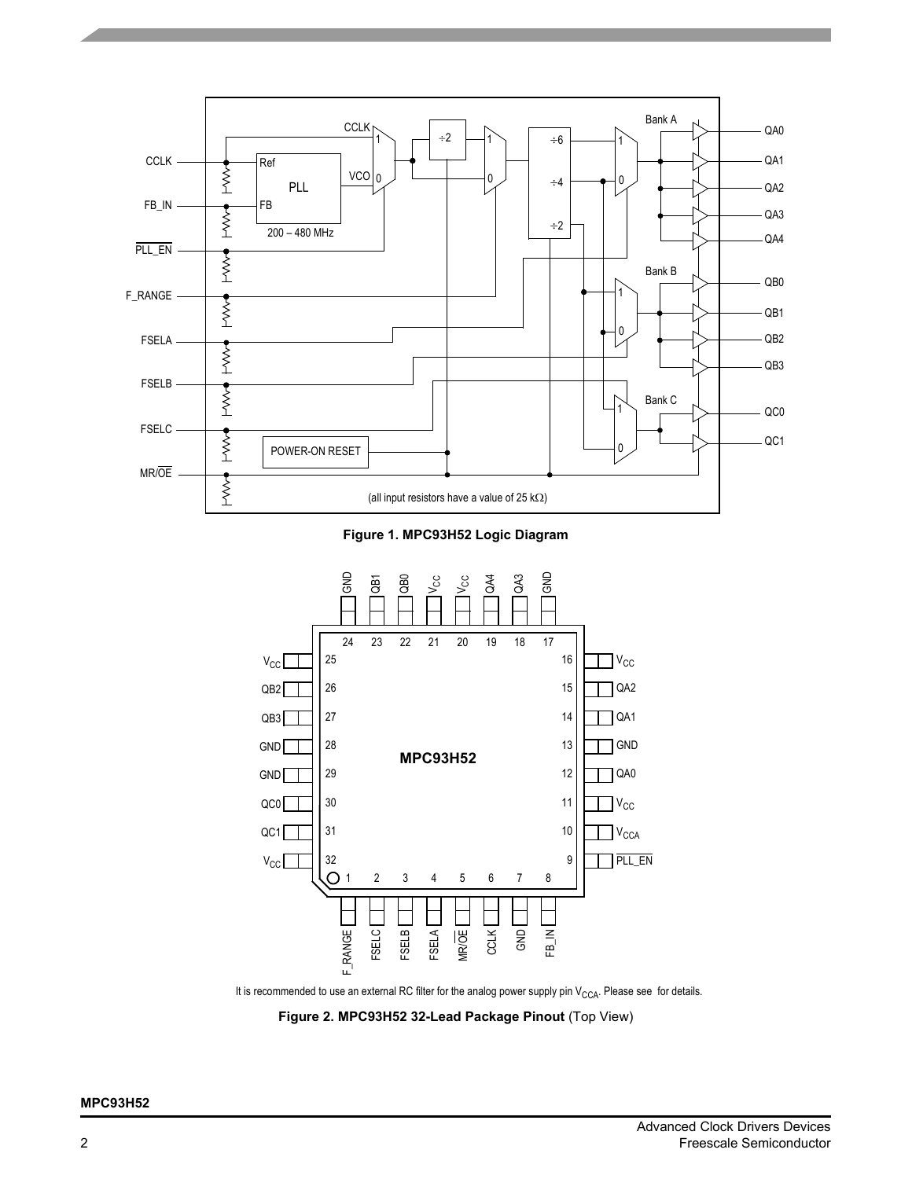

**Figure 1. MPC93H52 Logic Diagram**



It is recommended to use an external RC filter for the analog power supply pin  $V_{CCA}$ . Please see for details.

**Figure 2. MPC93H52 32-Lead Package Pinout** (Top View)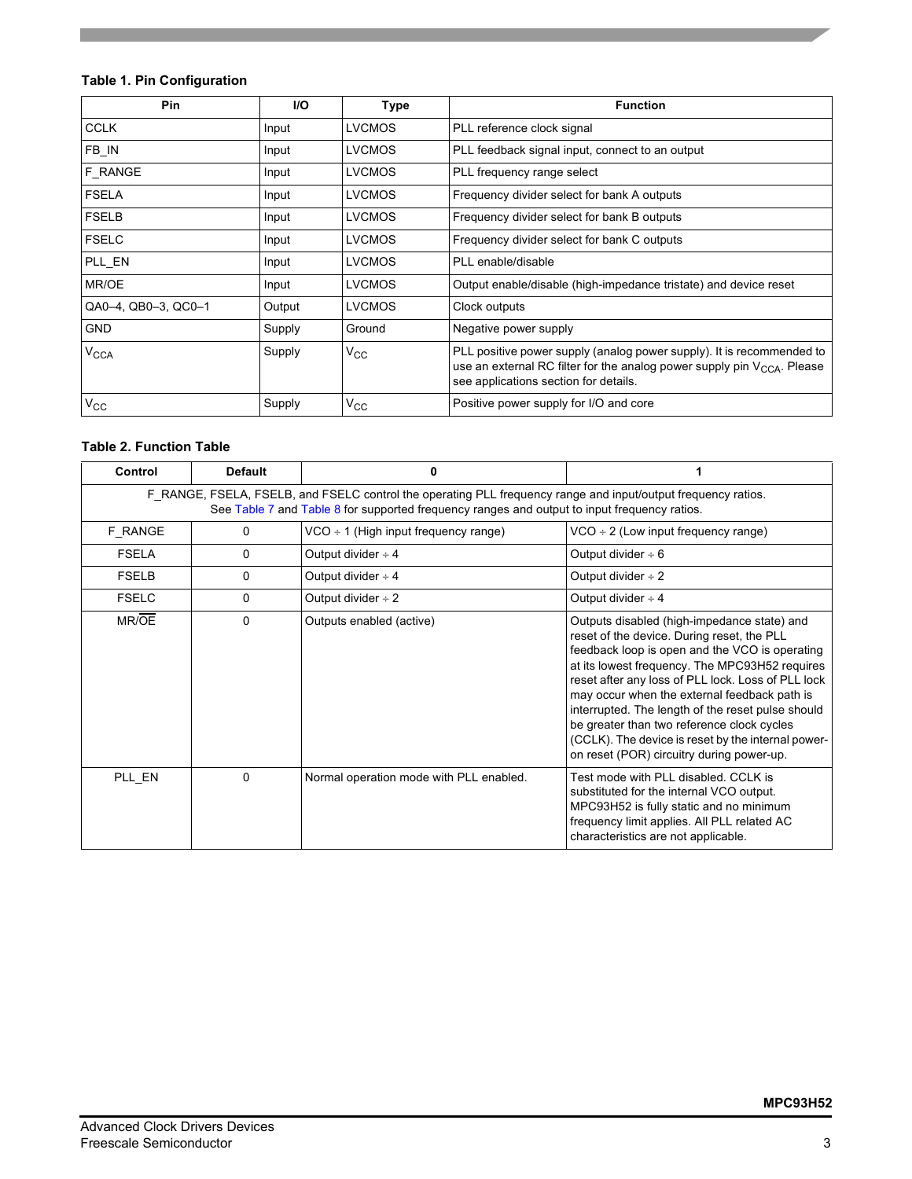# **Table 1. Pin Configuration**

| <b>Pin</b>             | <b>I/O</b> | Type          | <b>Function</b>                                                                                                                                                                                |
|------------------------|------------|---------------|------------------------------------------------------------------------------------------------------------------------------------------------------------------------------------------------|
| <b>CCLK</b>            | Input      | <b>LVCMOS</b> | PLL reference clock signal                                                                                                                                                                     |
| FB_IN                  | Input      | <b>LVCMOS</b> | PLL feedback signal input, connect to an output                                                                                                                                                |
| F RANGE                | Input      | <b>LVCMOS</b> | PLL frequency range select                                                                                                                                                                     |
| <b>FSELA</b>           | Input      | <b>LVCMOS</b> | Frequency divider select for bank A outputs                                                                                                                                                    |
| <b>FSELB</b>           | Input      | <b>LVCMOS</b> | Frequency divider select for bank B outputs                                                                                                                                                    |
| <b>FSELC</b>           | Input      | <b>LVCMOS</b> | Frequency divider select for bank C outputs                                                                                                                                                    |
| PLL EN                 | Input      | <b>LVCMOS</b> | PLL enable/disable                                                                                                                                                                             |
| MR/OE                  | Input      | <b>LVCMOS</b> | Output enable/disable (high-impedance tristate) and device reset                                                                                                                               |
| QA0-4, QB0-3, QC0-1    | Output     | <b>LVCMOS</b> | Clock outputs                                                                                                                                                                                  |
| <b>GND</b>             | Supply     | Ground        | Negative power supply                                                                                                                                                                          |
| <b>V<sub>CCA</sub></b> | Supply     | $\rm v_{cc}$  | PLL positive power supply (analog power supply). It is recommended to<br>use an external RC filter for the analog power supply pin $V_{CCA}$ . Please<br>see applications section for details. |
| $V_{CC}$               | Supply     | $\rm v_{cc}$  | Positive power supply for I/O and core                                                                                                                                                         |

# <span id="page-2-0"></span>**Table 2. Function Table**

| Control      | <b>Default</b>                                                                                                                                                                                                | 0                                         | 1                                                                                                                                                                                                                                                                                                                                                                                                                                                                                                         |  |  |  |  |  |  |
|--------------|---------------------------------------------------------------------------------------------------------------------------------------------------------------------------------------------------------------|-------------------------------------------|-----------------------------------------------------------------------------------------------------------------------------------------------------------------------------------------------------------------------------------------------------------------------------------------------------------------------------------------------------------------------------------------------------------------------------------------------------------------------------------------------------------|--|--|--|--|--|--|
|              | F RANGE, FSELA, FSELB, and FSELC control the operating PLL frequency range and input/output frequency ratios.<br>See Table 7 and Table 8 for supported frequency ranges and output to input frequency ratios. |                                           |                                                                                                                                                                                                                                                                                                                                                                                                                                                                                                           |  |  |  |  |  |  |
| F RANGE      | 0                                                                                                                                                                                                             | $VCO \div 1$ (High input frequency range) | $VCO \div 2$ (Low input frequency range)                                                                                                                                                                                                                                                                                                                                                                                                                                                                  |  |  |  |  |  |  |
| <b>FSELA</b> | 0                                                                                                                                                                                                             | Output divider $\div 4$                   | Output divider $\div 6$                                                                                                                                                                                                                                                                                                                                                                                                                                                                                   |  |  |  |  |  |  |
| <b>FSELB</b> | 0                                                                                                                                                                                                             | Output divider $\div 4$                   | Output divider $\div 2$                                                                                                                                                                                                                                                                                                                                                                                                                                                                                   |  |  |  |  |  |  |
| <b>FSELC</b> | 0                                                                                                                                                                                                             | Output divider $\div 2$                   | Output divider $\div$ 4                                                                                                                                                                                                                                                                                                                                                                                                                                                                                   |  |  |  |  |  |  |
| MR/OE        | 0                                                                                                                                                                                                             | Outputs enabled (active)                  | Outputs disabled (high-impedance state) and<br>reset of the device. During reset, the PLL<br>feedback loop is open and the VCO is operating<br>at its lowest frequency. The MPC93H52 requires<br>reset after any loss of PLL lock. Loss of PLL lock<br>may occur when the external feedback path is<br>interrupted. The length of the reset pulse should<br>be greater than two reference clock cycles<br>(CCLK). The device is reset by the internal power-<br>on reset (POR) circuitry during power-up. |  |  |  |  |  |  |
| PLL EN       | $\Omega$                                                                                                                                                                                                      | Normal operation mode with PLL enabled.   | Test mode with PLL disabled. CCLK is<br>substituted for the internal VCO output.<br>MPC93H52 is fully static and no minimum<br>frequency limit applies. All PLL related AC<br>characteristics are not applicable.                                                                                                                                                                                                                                                                                         |  |  |  |  |  |  |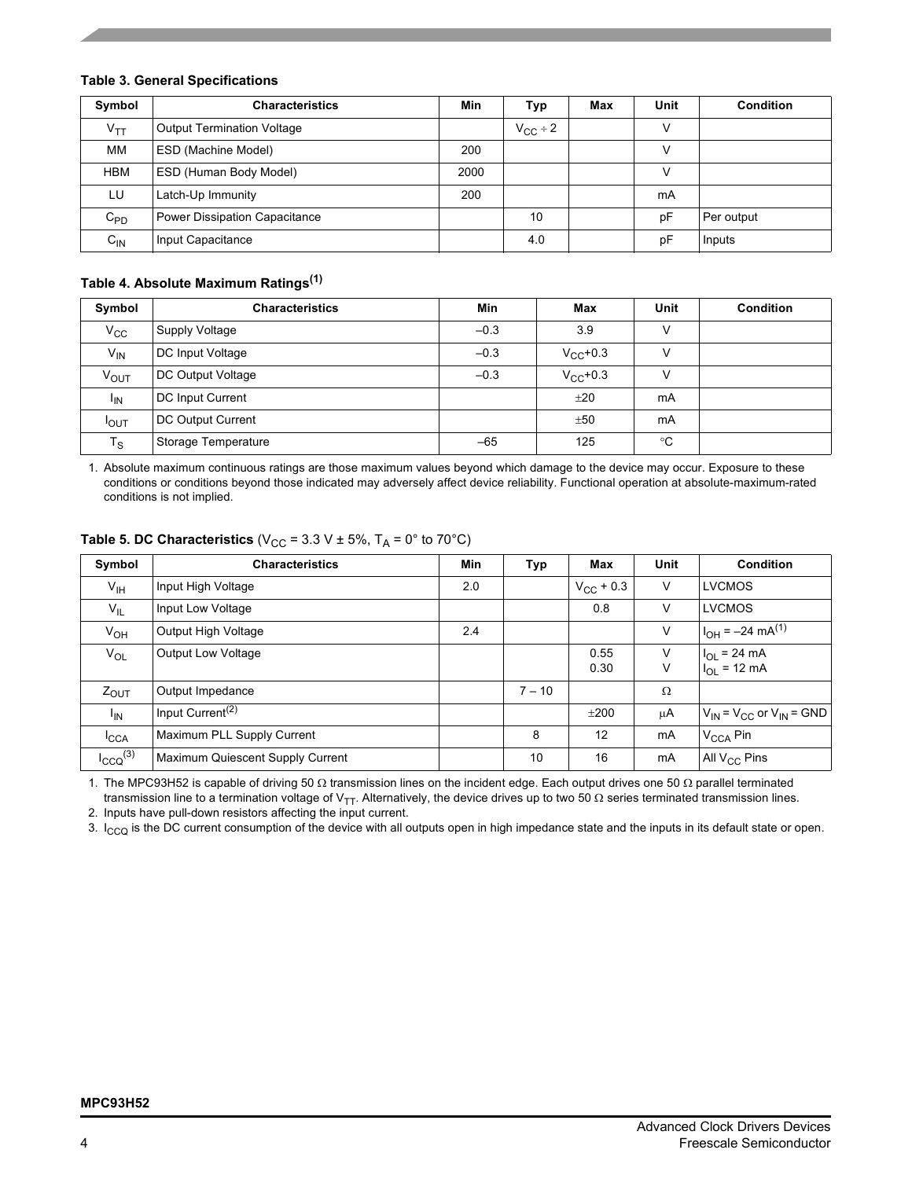# **Table 3. General Specifications**

| Symbol     | <b>Characteristics</b>               | Min  | Typ                 | Max | Unit   | Condition  |
|------------|--------------------------------------|------|---------------------|-----|--------|------------|
| $V_{TT}$   | <b>Output Termination Voltage</b>    |      | $V_{\text{CC}}$ ÷ 2 |     | ν      |            |
| МM         | <b>ESD (Machine Model)</b>           | 200  |                     |     | V      |            |
| <b>HBM</b> | ESD (Human Body Model)               | 2000 |                     |     | $\vee$ |            |
| LU         | Latch-Up Immunity                    | 200  |                     |     | mA     |            |
| $C_{PD}$   | <b>Power Dissipation Capacitance</b> |      | 10                  |     | рF     | Per output |
| $C_{IN}$   | Input Capacitance                    |      | 4.0                 |     | pF     | Inputs     |

# **Table 4. Absolute Maximum Ratings(1)**

| Symbol           | <b>Characteristics</b>   | Min    | Max           | Unit | <b>Condition</b> |
|------------------|--------------------------|--------|---------------|------|------------------|
| $V_{\rm CC}$     | Supply Voltage           | $-0.3$ | 3.9           | ν    |                  |
| $V_{IN}$         | DC Input Voltage         | $-0.3$ | $V_{CC}$ +0.3 |      |                  |
| $V_{OUT}$        | <b>DC Output Voltage</b> | $-0.3$ | $V_{CC}$ +0.3 | V    |                  |
| <sup>I</sup> IN  | <b>DC Input Current</b>  |        | ±20           | mA   |                  |
| $I_{\text{OUT}}$ | DC Output Current        |        | ±50           | mA   |                  |
| $T_S$            | Storage Temperature      | $-65$  | 125           | °C   |                  |

1. Absolute maximum continuous ratings are those maximum values beyond which damage to the device may occur. Exposure to these conditions or conditions beyond those indicated may adversely affect device reliability. Functional operation at absolute-maximum-rated conditions is not implied.

| Symbol           | <b>Characteristics</b>           | Min | Typ      | Max                | Unit    | <b>Condition</b>                      |
|------------------|----------------------------------|-----|----------|--------------------|---------|---------------------------------------|
| $V_{\text{IH}}$  | Input High Voltage               | 2.0 |          | $V_{\rm CC}$ + 0.3 | V       | <b>LVCMOS</b>                         |
| $V_{IL}$         | Input Low Voltage                |     |          | 0.8                | V       | <b>LVCMOS</b>                         |
| $V_{OH}$         | Output High Voltage              | 2.4 |          |                    | V       | $H_{OH} = -24 \text{ mA}^{(1)}$       |
| $V_{OL}$         | <b>Output Low Voltage</b>        |     |          | 0.55<br>0.30       | V<br>V  | $I_{OL}$ = 24 mA<br>$I_{OL}$ = 12 mA  |
| $Z_{\text{OUT}}$ | Output Impedance                 |     | $7 - 10$ |                    | Ω       |                                       |
| $I_{IN}$         | Input Current <sup>(2)</sup>     |     |          | ±200               | $\mu$ A | $V_{IN}$ = $V_{CC}$ or $V_{IN}$ = GND |
| ICCA             | Maximum PLL Supply Current       |     | 8        | 12                 | mA      | $V_{\text{CCA}}$ Pin                  |
| $I_{CCQ}^{(3)}$  | Maximum Quiescent Supply Current |     | 10       | 16                 | mA      | All $V_{CC}$ Pins                     |

# **Table 5. DC Characteristics** ( $V_{CC}$  = 3.3 V  $\pm$  5%, T<sub>A</sub> = 0° to 70°C)

1. The MPC93H52 is capable of driving 50 Ω transmission lines on the incident edge. Each output drives one 50 Ω parallel terminated transmission line to a termination voltage of V<sub>TT</sub>. Alternatively, the device drives up to two 50 Ω series terminated transmission lines.

2. Inputs have pull-down resistors affecting the input current.

3.  $I_{\rm CO}$  is the DC current consumption of the device with all outputs open in high impedance state and the inputs in its default state or open.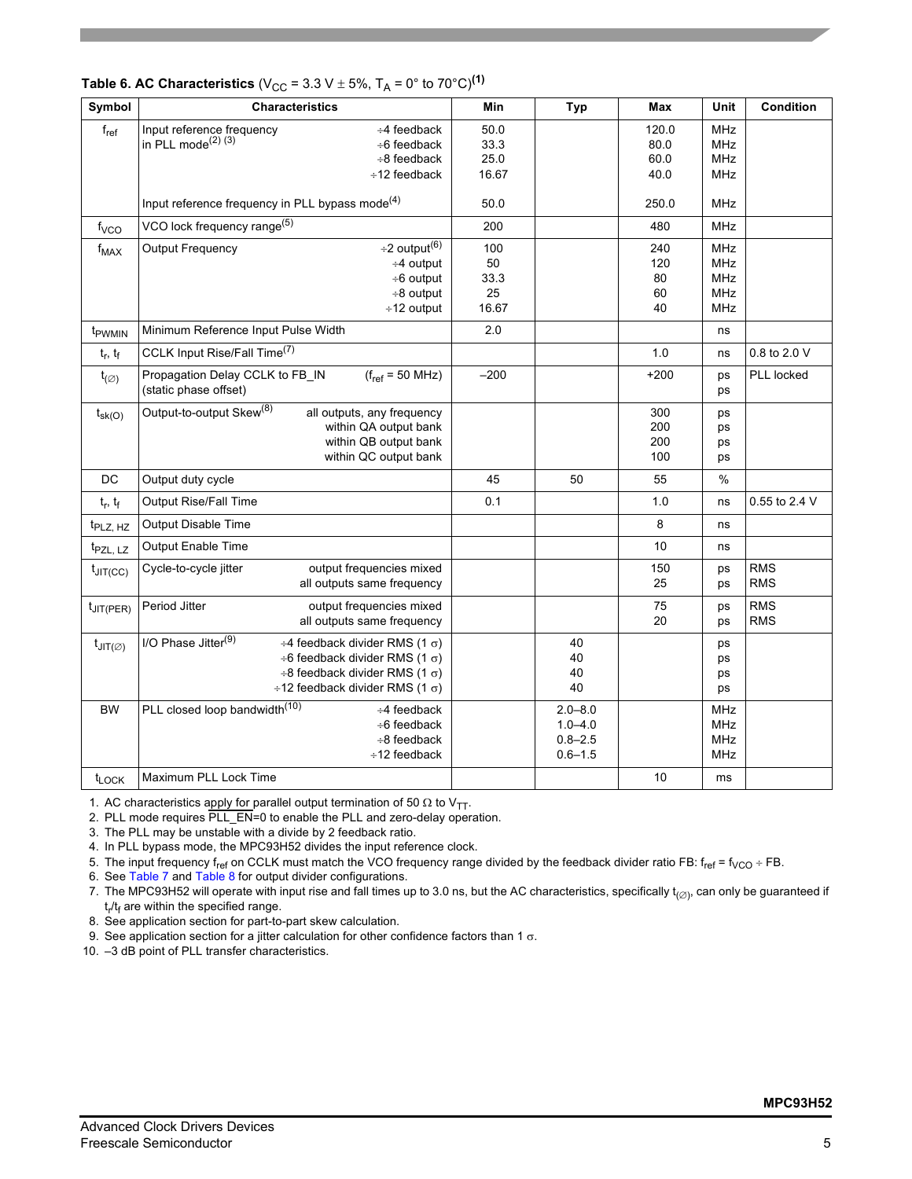| Symbol                        | <b>Characteristics</b>                                                                                                                                                                                                       | Min                              | <b>Typ</b>                                               | Max                           | Unit                                                        | Condition                |
|-------------------------------|------------------------------------------------------------------------------------------------------------------------------------------------------------------------------------------------------------------------------|----------------------------------|----------------------------------------------------------|-------------------------------|-------------------------------------------------------------|--------------------------|
| $f_{ref}$                     | Input reference frequency<br>$\div$ 4 feedback<br>in PLL mode $(2)$ $(3)$<br>$\div$ 6 feedback<br>$\div$ 8 feedback<br>$\div$ 12 feedback                                                                                    | 50.0<br>33.3<br>25.0<br>16.67    |                                                          | 120.0<br>80.0<br>60.0<br>40.0 | <b>MHz</b><br><b>MHz</b><br><b>MHz</b><br>MHz               |                          |
|                               | Input reference frequency in PLL bypass mode <sup>(4)</sup>                                                                                                                                                                  | 50.0                             |                                                          | 250.0                         | <b>MHz</b>                                                  |                          |
| $f_{VCO}$                     | VCO lock frequency range <sup>(5)</sup>                                                                                                                                                                                      | 200                              |                                                          | 480                           | MHz                                                         |                          |
| $f_{MAX}$                     | $\div$ 2 output <sup>(6)</sup><br><b>Output Frequency</b><br>$\div 4$ output<br>÷6 output<br>÷8 output<br>÷12 output                                                                                                         | 100<br>50<br>33.3<br>25<br>16.67 |                                                          | 240<br>120<br>80<br>60<br>40  | <b>MHz</b><br><b>MHz</b><br><b>MHz</b><br>MHz<br><b>MHz</b> |                          |
| t <sub>PWMIN</sub>            | Minimum Reference Input Pulse Width                                                                                                                                                                                          | 2.0                              |                                                          |                               | ns                                                          |                          |
| $t_r, t_f$                    | CCLK Input Rise/Fall Time <sup>(7)</sup>                                                                                                                                                                                     |                                  |                                                          | 1.0                           | ns                                                          | 0.8 to 2.0 V             |
| $t_{(\varnothing)}$           | Propagation Delay CCLK to FB_IN<br>$(f_{ref} = 50 MHz)$<br>(static phase offset)                                                                                                                                             | $-200$                           |                                                          | $+200$                        | ps<br>ps                                                    | PLL locked               |
| $t_{\rm sk(O)}$               | Output-to-output Skew <sup>(8)</sup><br>all outputs, any frequency<br>within QA output bank<br>within QB output bank<br>within QC output bank                                                                                |                                  |                                                          | 300<br>200<br>200<br>100      | ps<br>ps<br>ps<br>ps                                        |                          |
| DC                            | Output duty cycle                                                                                                                                                                                                            | 45                               | 50                                                       | 55                            | %                                                           |                          |
| $t_r, t_f$                    | Output Rise/Fall Time                                                                                                                                                                                                        | 0.1                              |                                                          | 1.0                           | ns                                                          | 0.55 to 2.4 V            |
| t <sub>PLZ, HZ</sub>          | Output Disable Time                                                                                                                                                                                                          |                                  |                                                          | 8                             | ns                                                          |                          |
| t <sub>PZL, LZ</sub>          | Output Enable Time                                                                                                                                                                                                           |                                  |                                                          | 10                            | ns                                                          |                          |
| $t_{JIT(CC)}$                 | Cycle-to-cycle jitter<br>output frequencies mixed<br>all outputs same frequency                                                                                                                                              |                                  |                                                          | 150<br>25                     | ps<br>ps                                                    | <b>RMS</b><br><b>RMS</b> |
| $t_{\text{JIT(PER)}}$         | Period Jitter<br>output frequencies mixed<br>all outputs same frequency                                                                                                                                                      |                                  |                                                          | 75<br>20                      | ps<br>ps                                                    | <b>RMS</b><br><b>RMS</b> |
| $t_{\text{JIT}(\varnothing)}$ | I/O Phase Jitter <sup>(9)</sup><br>$\div$ 4 feedback divider RMS (1 $\sigma$ )<br>$\div$ 6 feedback divider RMS (1 $\sigma$ )<br>$\div$ 8 feedback divider RMS (1 $\sigma$ )<br>$\div$ 12 feedback divider RMS (1 $\sigma$ ) |                                  | 40<br>40<br>40<br>40                                     |                               | ps<br>ps<br>ps<br>ps                                        |                          |
| <b>BW</b>                     | PLL closed loop bandwidth <sup>(10)</sup><br>$\div$ 4 feedback<br>$\div$ 6 feedback<br>$\div$ 8 feedback<br>$\div$ 12 feedback                                                                                               |                                  | $2.0 - 8.0$<br>$1.0 - 4.0$<br>$0.8 - 2.5$<br>$0.6 - 1.5$ |                               | <b>MHz</b><br>MHz<br>MHz<br><b>MHz</b>                      |                          |
| $t_{\text{LOCK}}$             | Maximum PLL Lock Time                                                                                                                                                                                                        |                                  |                                                          | 10                            | ms                                                          |                          |

# **Table 6. AC Characteristics** ( $V_{CC}$  = 3.3 V  $\pm$  5%, T<sub>A</sub> = 0° to 70°C)<sup>(1)</sup>

1. AC characteristics apply for parallel output termination of 50  $\Omega$  to V<sub>TT</sub>.

2. PLL mode requires PLL\_EN=0 to enable the PLL and zero-delay operation.

3. The PLL may be unstable with a divide by 2 feedback ratio.

4. In PLL bypass mode, the MPC93H52 divides the input reference clock.

5. The input frequency f<sub>ref</sub> on CCLK must match the VCO frequency range divided by the feedback divider ratio FB: f<sub>ref</sub> = f<sub>VCO</sub> ÷ FB.

6. See [Table 7](#page-5-0) and [Table 8](#page-5-1) for output divider configurations.

7. The MPC93H52 will operate with input rise and fall times up to 3.0 ns, but the AC characteristics, specifically  $t_{(Ø)}$ , can only be guaranteed if t<sub>r</sub>/t<sub>f</sub> are within the specified range.

8. See application section for part-to-part skew calculation.

9. See application section for a jitter calculation for other confidence factors than 1 σ.

10. -3 dB point of PLL transfer characteristics.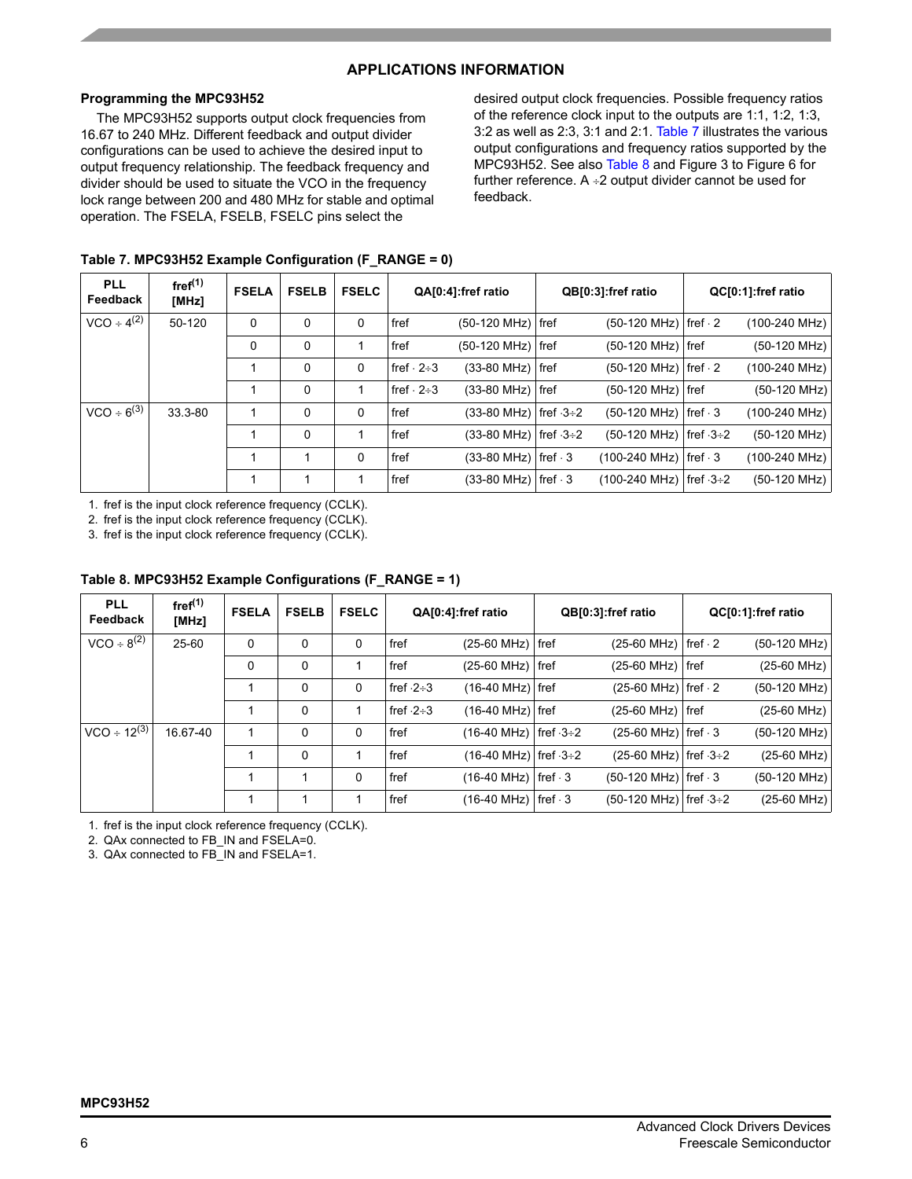# **APPLICATIONS INFORMATION**

# **Programming the MPC93H52**

The MPC93H52 supports output clock frequencies from 16.67 to 240 MHz. Different feedback and output divider configurations can be used to achieve the desired input to output frequency relationship. The feedback frequency and divider should be used to situate the VCO in the frequency lock range between 200 and 480 MHz for stable and optimal operation. The FSELA, FSELB, FSELC pins select the

desired output clock frequencies. Possible frequency ratios of the reference clock input to the outputs are 1:1, 1:2, 1:3, 3:2 as well as 2:3, 3:1 and 2:1. [Table 7](#page-5-0) illustrates the various output configurations and frequency ratios supported by the MPC93H52. See also [Table 8](#page-5-1) and Figure 3 to Figure 6 for further reference.  $A \div 2$  output divider cannot be used for feedback.

<span id="page-5-0"></span>

| <b>PLL</b><br>Feedback | fref <sup>(1)</sup><br>[MHz] | <b>FSELA</b> | <b>FSELB</b> | <b>FSELC</b> |                       | QA[0:4]:fref ratio                          | QB[0:3]:fref ratio                     | QC[0:1]:fref ratio      |
|------------------------|------------------------------|--------------|--------------|--------------|-----------------------|---------------------------------------------|----------------------------------------|-------------------------|
| $VCO \div 4^{(2)}$     | 50-120                       | 0            | 0            | 0            | fref                  | $(50-120 \text{ MHz})$ fref                 | $(50-120 \text{ MHz})$ fref $\cdot$ 2  | (100-240 MHz)           |
|                        |                              | 0            | 0            |              | fref                  | $(50-120 \text{ MHz})$ fref                 | $(50-120 \text{ MHz})$ fref            | $(50-120 \text{ MHz})$  |
|                        |                              |              | 0            | 0            | $fref \cdot 2 \div 3$ | $(33-80 \text{ MHz})$ fref                  | $(50-120 \text{ MHz})$ fref $\cdot$ 2  | (100-240 MHz)           |
|                        |                              |              | 0            |              | $fref \cdot 2 \div 3$ | $(33-80 \text{ MHz})$ fref                  | (50-120 MHz)   fref                    | $(50-120 MHz)$          |
| $VCO \div 6^{(3)}$     | 33.3-80                      |              | 0            | 0            | fref                  | $(33-80 \text{ MHz})$ fref $\cdot 3 \div 2$ | $(50-120 \text{ MHz})$ fref $\cdot$ 3  | $(100-240 \text{ MHz})$ |
|                        |                              |              | $\Omega$     |              | fref                  | $(33-80 \text{ MHz})$ fref $\cdot 3 \div 2$ | $(50-120 \text{ MHz})$ fref $-3\div 2$ | (50-120 MHz)            |
|                        |                              |              |              | $\mathbf{0}$ | fref                  | $(33-80 \text{ MHz})$ fref $\cdot$ 3        | $(100-240 \text{ MHz})$ fref $\cdot$ 3 | (100-240 MHz)           |
|                        |                              |              |              |              | fref                  | $(33-80 \text{ MHz})$ fref $\cdot$ 3        | $(100-240 \text{ MHz})$ fref $-3+2$    | $(50-120$ MHz)          |

1. fref is the input clock reference frequency (CCLK).

2. fref is the input clock reference frequency (CCLK).

3. fref is the input clock reference frequency (CCLK).

# <span id="page-5-1"></span>**Table 8. MPC93H52 Example Configurations (F\_RANGE = 1)**

| <b>PLL</b><br>Feedback | fref <sup>(1)</sup><br>[MHz] | <b>FSELA</b> | <b>FSELB</b> | <b>FSELC</b> |             | QA[0:4]:fref ratio                   | QB[0:3]:fref ratio                     | QC[0:1]:fref ratio     |
|------------------------|------------------------------|--------------|--------------|--------------|-------------|--------------------------------------|----------------------------------------|------------------------|
| $VCO \div 8^{(2)}$     | 25-60                        | 0            | 0            | 0            | fref        | $(25-60 \text{ MHz})$ fref           | $(25-60$ MHz)   fref $\cdot$ 2         | $(50-120 \text{ MHz})$ |
|                        |                              | 0            | 0            |              | fref        | $(25-60$ MHz) fref                   | $(25-60 \text{ MHz})$ fref             | $(25-60 \text{ MHz})$  |
|                        |                              |              | 0            | 0            | fref $-2+3$ | $(16-40 \text{ MHz})$ fref           | $(25-60$ MHz) fref $\cdot$ 2           | $(50-120 \text{ MHz})$ |
|                        |                              |              | 0            |              | fref $-2+3$ | $(16-40 \text{ MHz})$ fref           | $(25-60 \text{ MHz})$ fref             | $(25-60 \text{ MHz})$  |
| $VCO \div 12^{(3)}$    | 16.67-40                     |              | 0            | 0            | fref        | $(16-40 \text{ MHz})$ fref $-3+2$    | $(25-60$ MHz)   fref $\cdot$ 3         | (50-120 MHz)           |
|                        |                              |              | 0            |              | fref        | $(16-40 \text{ MHz})$ fref $-3+2$    | $(25-60 \text{ MHz})$ fref $-3+2$      | $(25-60 \text{ MHz})$  |
|                        |                              |              |              | 0            | fref        | $(16-40 \text{ MHz})$ fref $\cdot$ 3 | $(50-120 \text{ MHz})$ fref $\cdot$ 3  | (50-120 MHz)           |
|                        |                              |              |              |              | fref        | $(16-40 \text{ MHz})$ fref $\cdot$ 3 | $(50-120 \text{ MHz})$ fref $-3\div 2$ | (25-60 MHz)            |

1. fref is the input clock reference frequency (CCLK).

2. QAx connected to FB\_IN and FSELA=0.

3. QAx connected to FB\_IN and FSELA=1.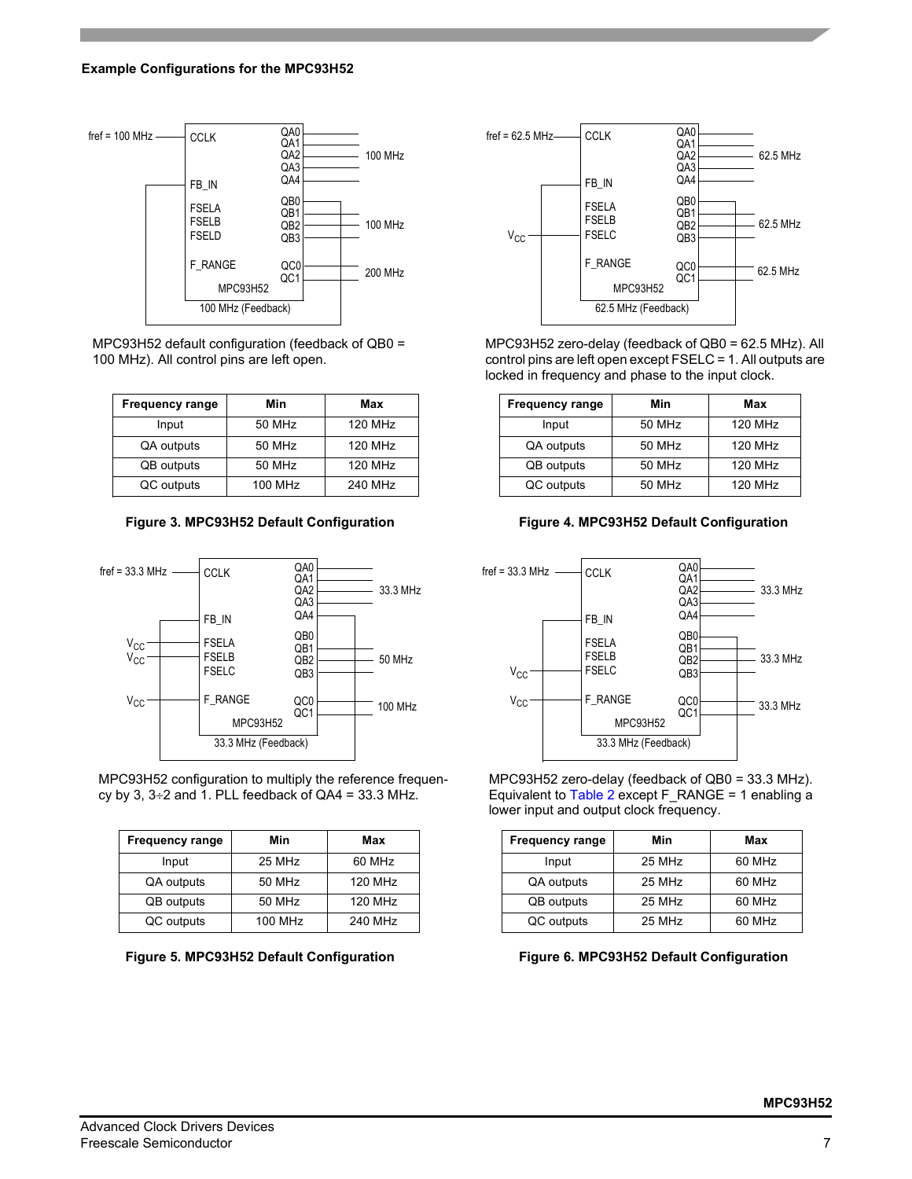

MPC93H52 default configuration (feedback of QB0 = 100 MHz). All control pins are left open.

| <b>Frequency range</b> | Min     | Max            |
|------------------------|---------|----------------|
| Input                  | 50 MHz  | <b>120 MHz</b> |
| QA outputs             | 50 MHz  | 120 MHz        |
| <b>QB</b> outputs      | 50 MHz  | 120 MHz        |
| QC outputs             | 100 MHz | 240 MHz        |



MPC93H52 configuration to multiply the reference frequency by 3,  $3\div 2$  and 1. PLL feedback of QA4 = 33.3 MHz.

| <b>Frequency range</b> | Min     | Max            |
|------------------------|---------|----------------|
| Input                  | 25 MHz  | 60 MHz         |
| QA outputs             | 50 MHz  | 120 MHz        |
| QB outputs             | 50 MHz  | <b>120 MHz</b> |
| QC outputs             | 100 MHz | 240 MHz        |

**Figure 5. MPC93H52 Default Configuration Figure 6. MPC93H52 Default Configuration**



MPC93H52 zero-delay (feedback of QB0 = 62.5 MHz). All control pins are left open except FSELC = 1. All outputs are locked in frequency and phase to the input clock.

| <b>Frequency range</b> | Min    | Max            |
|------------------------|--------|----------------|
| Input                  | 50 MHz | 120 MHz        |
| QA outputs             | 50 MHz | 120 MHz        |
| QB outputs             | 50 MHz | <b>120 MHz</b> |
| QC outputs             | 50 MHz | 120 MHz        |





MPC93H52 zero-delay (feedback of QB0 = 33.3 MHz). Equivalent to [Table 2](#page-2-0) except F\_RANGE = 1 enabling a lower input and output clock frequency.

| <b>Frequency range</b> | Min    | Max    |
|------------------------|--------|--------|
| Input                  | 25 MHz | 60 MHz |
| QA outputs             | 25 MHz | 60 MHz |
| QB outputs             | 25 MHz | 60 MHz |
| QC outputs             | 25 MHz | 60 MHz |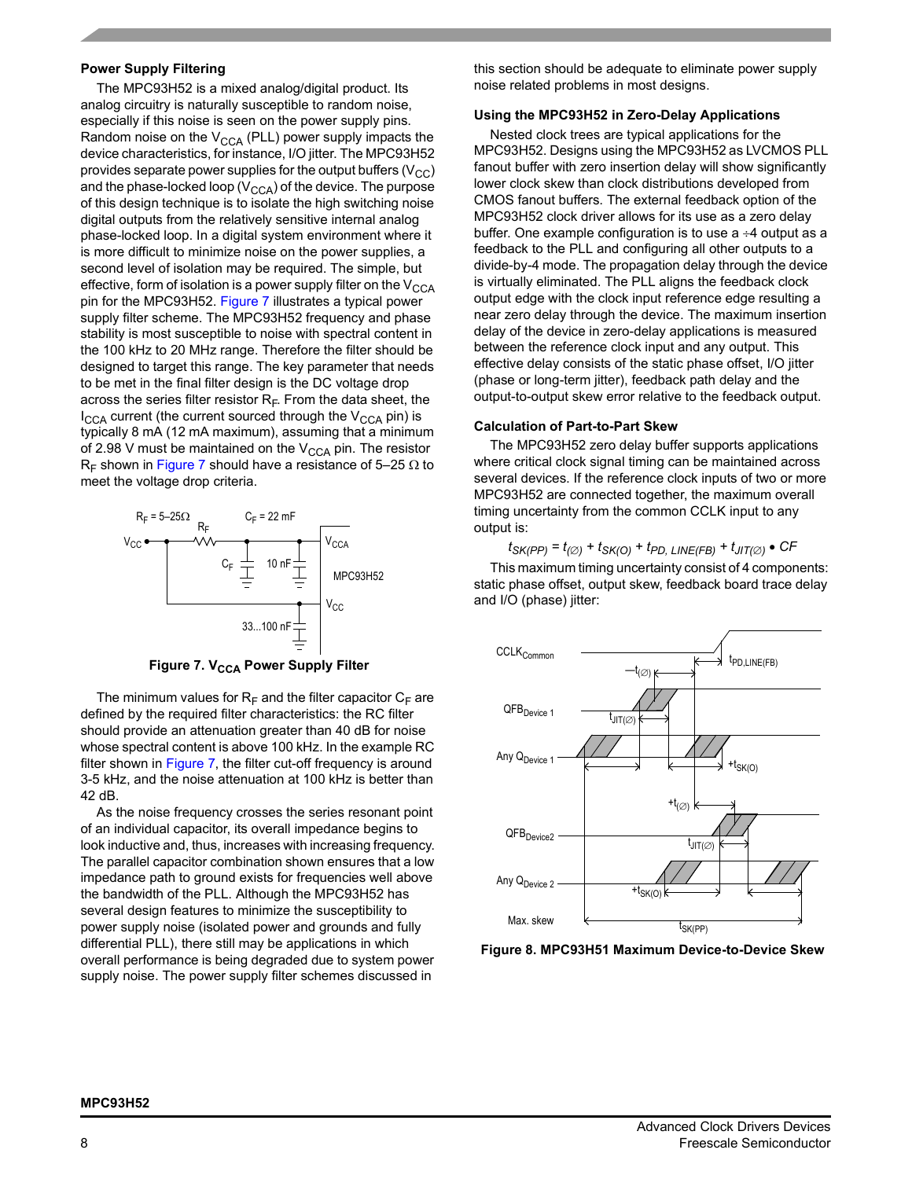#### **Power Supply Filtering**

The MPC93H52 is a mixed analog/digital product. Its analog circuitry is naturally susceptible to random noise, especially if this noise is seen on the power supply pins. Random noise on the  $V_{CCA}$  (PLL) power supply impacts the device characteristics, for instance, I/O jitter. The MPC93H52 provides separate power supplies for the output buffers  $(V_{CC})$ and the phase-locked loop  $(V_{CCA})$  of the device. The purpose of this design technique is to isolate the high switching noise digital outputs from the relatively sensitive internal analog phase-locked loop. In a digital system environment where it is more difficult to minimize noise on the power supplies, a second level of isolation may be required. The simple, but effective, form of isolation is a power supply filter on the  $V_{\text{CCA}}$ pin for the MPC93H52. [Figure 7](#page-7-0) illustrates a typical power supply filter scheme. The MPC93H52 frequency and phase stability is most susceptible to noise with spectral content in the 100 kHz to 20 MHz range. Therefore the filter should be designed to target this range. The key parameter that needs to be met in the final filter design is the DC voltage drop across the series filter resistor  $R_F$ . From the data sheet, the  $I_{\text{CCA}}$  current (the current sourced through the  $V_{\text{CCA}}$  pin) is typically 8 mA (12 mA maximum), assuming that a minimum of 2.98 V must be maintained on the  $V_{CCA}$  pin. The resistor R<sub>F</sub> shown in [Figure 7](#page-7-0) should have a resistance of 5–25  $\Omega$  to meet the voltage drop criteria.



**Figure 7. V<sub>CCA</sub> Power Supply Filter** 

<span id="page-7-0"></span>The minimum values for  $R_F$  and the filter capacitor  $C_F$  are defined by the required filter characteristics: the RC filter should provide an attenuation greater than 40 dB for noise whose spectral content is above 100 kHz. In the example RC filter shown in [Figure 7](#page-7-0), the filter cut-off frequency is around 3-5 kHz, and the noise attenuation at 100 kHz is better than 42 dB.

As the noise frequency crosses the series resonant point of an individual capacitor, its overall impedance begins to look inductive and, thus, increases with increasing frequency. The parallel capacitor combination shown ensures that a low impedance path to ground exists for frequencies well above the bandwidth of the PLL. Although the MPC93H52 has several design features to minimize the susceptibility to power supply noise (isolated power and grounds and fully differential PLL), there still may be applications in which overall performance is being degraded due to system power supply noise. The power supply filter schemes discussed in

this section should be adequate to eliminate power supply noise related problems in most designs.

#### **Using the MPC93H52 in Zero-Delay Applications**

Nested clock trees are typical applications for the MPC93H52. Designs using the MPC93H52 as LVCMOS PLL fanout buffer with zero insertion delay will show significantly lower clock skew than clock distributions developed from CMOS fanout buffers. The external feedback option of the MPC93H52 clock driver allows for its use as a zero delay buffer. One example configuration is to use  $a \div 4$  output as a feedback to the PLL and configuring all other outputs to a divide-by-4 mode. The propagation delay through the device is virtually eliminated. The PLL aligns the feedback clock output edge with the clock input reference edge resulting a near zero delay through the device. The maximum insertion delay of the device in zero-delay applications is measured between the reference clock input and any output. This effective delay consists of the static phase offset, I/O jitter (phase or long-term jitter), feedback path delay and the output-to-output skew error relative to the feedback output.

#### **Calculation of Part-to-Part Skew**

The MPC93H52 zero delay buffer supports applications where critical clock signal timing can be maintained across several devices. If the reference clock inputs of two or more MPC93H52 are connected together, the maximum overall timing uncertainty from the common CCLK input to any output is:

# $t_{SK(PP)} = t_{(Ø)} + t_{SK(O)} + t_{PD, LINE(FB)} + t_{JIT(Ø)}$  • CF

This maximum timing uncertainty consist of 4 components: static phase offset, output skew, feedback board trace delay and I/O (phase) jitter:



**Figure 8. MPC93H51 Maximum Device-to-Device Skew**

#### **MPC93H52**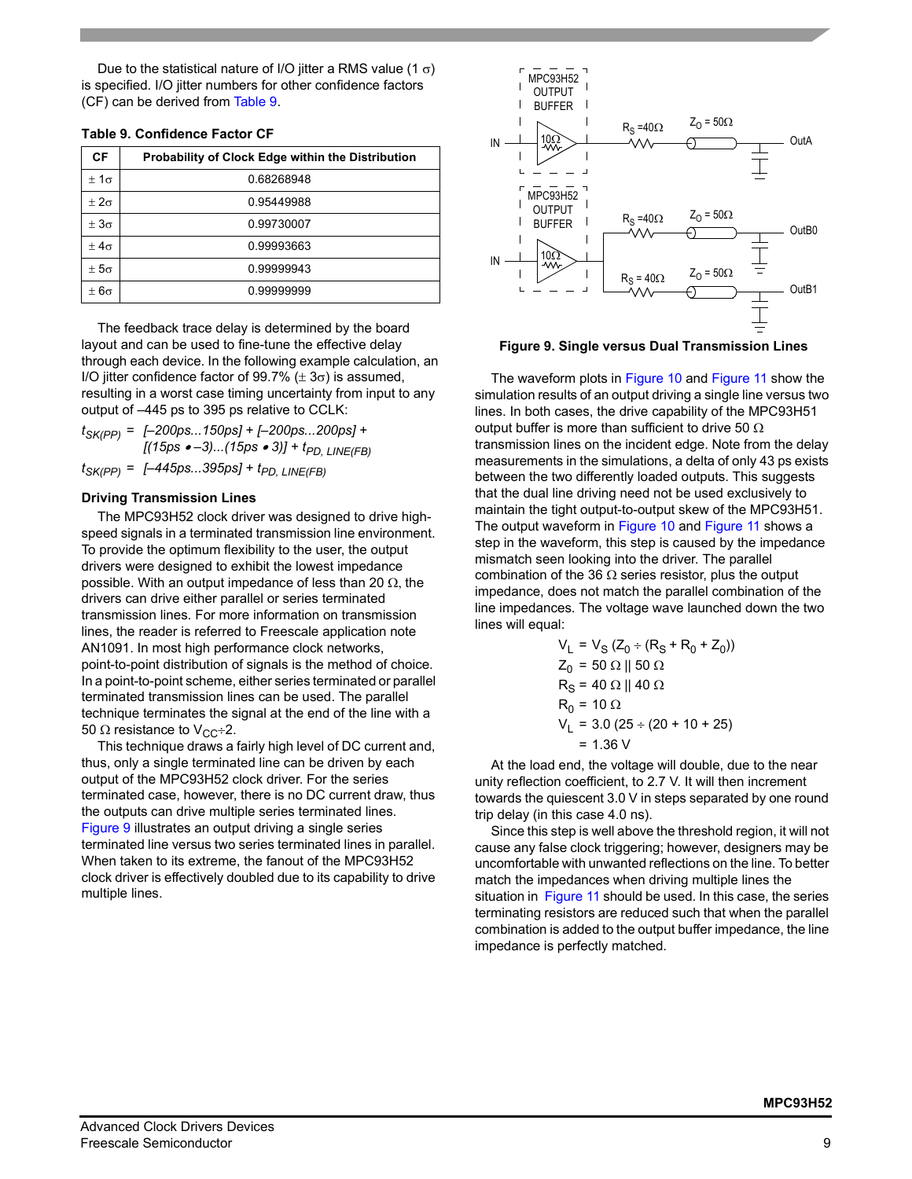Due to the statistical nature of I/O jitter a RMS value (1  $\sigma$ ) is specified. I/O jitter numbers for other confidence factors (CF) can be derived from [Table 9](#page-8-0).

<span id="page-8-0"></span>

|  |  | <b>Table 9. Confidence Factor CF</b> |  |  |
|--|--|--------------------------------------|--|--|
|--|--|--------------------------------------|--|--|

| CF            | Probability of Clock Edge within the Distribution |
|---------------|---------------------------------------------------|
| $\pm 1\sigma$ | 0.68268948                                        |
| $\pm 2\sigma$ | 0.95449988                                        |
| $\pm 3\sigma$ | 0.99730007                                        |
| $+4\sigma$    | 0.99993663                                        |
| $\pm 5\sigma$ | 0.99999943                                        |
| $\pm 6\sigma$ | 0.99999999                                        |

The feedback trace delay is determined by the board layout and can be used to fine-tune the effective delay through each device. In the following example calculation, an I/O jitter confidence factor of 99.7% ( $\pm$  3 $\sigma$ ) is assumed, resulting in a worst case timing uncertainty from input to any output of  $-445$  ps to 395 ps relative to CCLK:

*tSK(PP) = [ñ200ps...150ps] + [ñ200ps...200ps] + [(15ps •* −3)...(15ps • 3)] + t<sub>PD, LINE(FB)</sub>

 $t_{SK(PP)} = [-445ps...395ps] + t_{PD, LINE(FB)}$ 

### **Driving Transmission Lines**

The MPC93H52 clock driver was designed to drive highspeed signals in a terminated transmission line environment. To provide the optimum flexibility to the user, the output drivers were designed to exhibit the lowest impedance possible. With an output impedance of less than 20  $\Omega$ , the drivers can drive either parallel or series terminated transmission lines. For more information on transmission lines, the reader is referred to Freescale application note AN1091. In most high performance clock networks, point-to-point distribution of signals is the method of choice. In a point-to-point scheme, either series terminated or parallel terminated transmission lines can be used. The parallel technique terminates the signal at the end of the line with a 50  $\Omega$  resistance to V<sub>CC</sub>÷2.

This technique draws a fairly high level of DC current and, thus, only a single terminated line can be driven by each output of the MPC93H52 clock driver. For the series terminated case, however, there is no DC current draw, thus the outputs can drive multiple series terminated lines. [Figure 9](#page-8-1) illustrates an output driving a single series terminated line versus two series terminated lines in parallel. When taken to its extreme, the fanout of the MPC93H52 clock driver is effectively doubled due to its capability to drive multiple lines.



<span id="page-8-1"></span>**Figure 9. Single versus Dual Transmission Lines**

The waveform plots in [Figure 10](#page-9-0) and [Figure 11](#page-9-1) show the simulation results of an output driving a single line versus two lines. In both cases, the drive capability of the MPC93H51 output buffer is more than sufficient to drive 50  $\Omega$ transmission lines on the incident edge. Note from the delay measurements in the simulations, a delta of only 43 ps exists between the two differently loaded outputs. This suggests that the dual line driving need not be used exclusively to maintain the tight output-to-output skew of the MPC93H51. The output waveform in [Figure 10](#page-9-0) and [Figure 11](#page-9-1) shows a step in the waveform, this step is caused by the impedance mismatch seen looking into the driver. The parallel combination of the 36  $\Omega$  series resistor, plus the output impedance, does not match the parallel combination of the line impedances. The voltage wave launched down the two lines will equal:

$$
VL = VS (Z0 ÷ (RS + R0 + Z0))
$$
  
Z<sub>0</sub> = 50 Ω || 50 Ω  
R<sub>S</sub> = 40 Ω || 40 Ω  
R<sub>0</sub> = 10 Ω  
R<sub>0</sub> = 10 Ω  
V<sub>L</sub> = 3.0 (25 ÷ (20 + 10 + 25)  
= 1.36 V

At the load end, the voltage will double, due to the near unity reflection coefficient, to 2.7 V. It will then increment towards the quiescent 3.0 V in steps separated by one round trip delay (in this case 4.0 ns).

Since this step is well above the threshold region, it will not cause any false clock triggering; however, designers may be uncomfortable with unwanted reflections on the line. To better match the impedances when driving multiple lines the situation in [Figure 11](#page-9-1) should be used. In this case, the series terminating resistors are reduced such that when the parallel combination is added to the output buffer impedance, the line impedance is perfectly matched.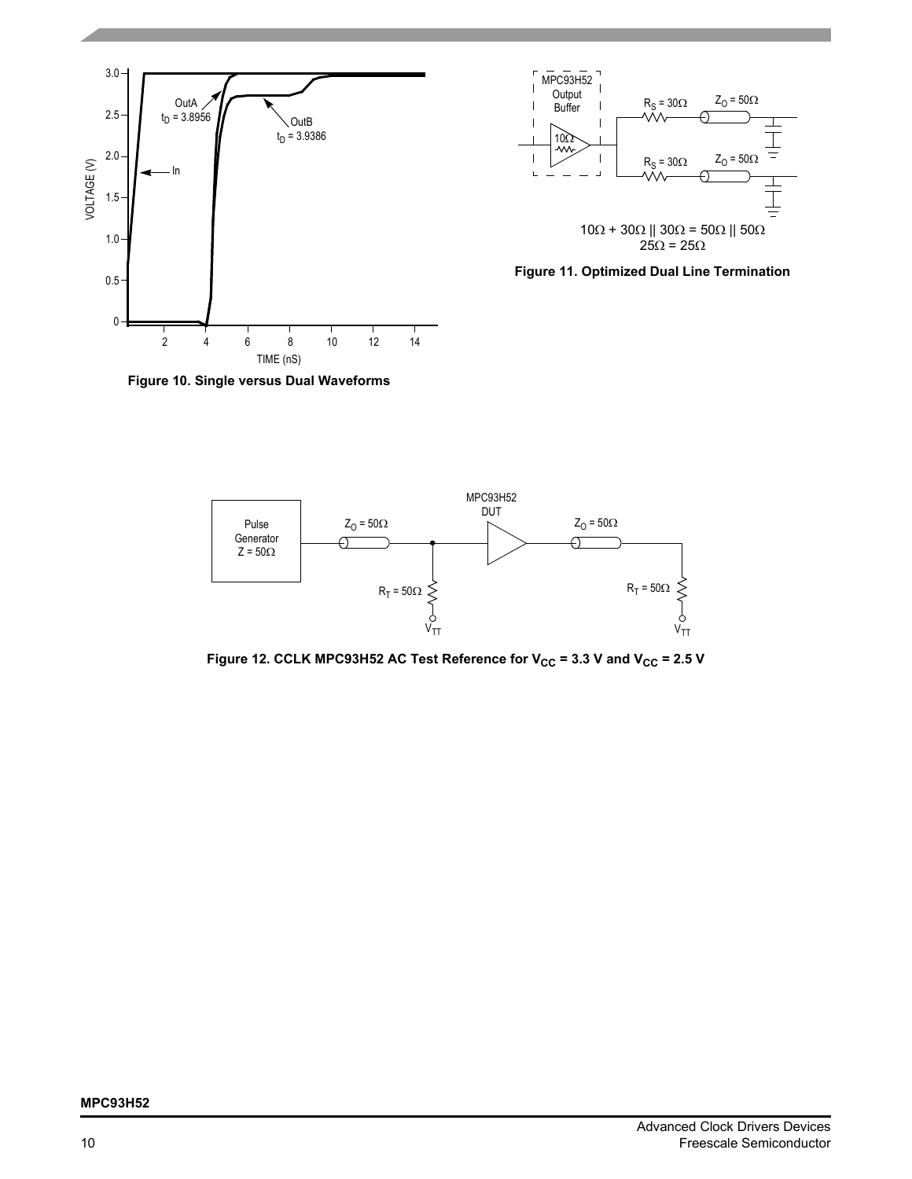



<span id="page-9-1"></span>

<span id="page-9-0"></span>**Figure 10. Single versus Dual Waveforms**



Figure 12. CCLK MPC93H52 AC Test Reference for  $V_{CC}$  = 3.3 V and  $V_{CC}$  = 2.5 V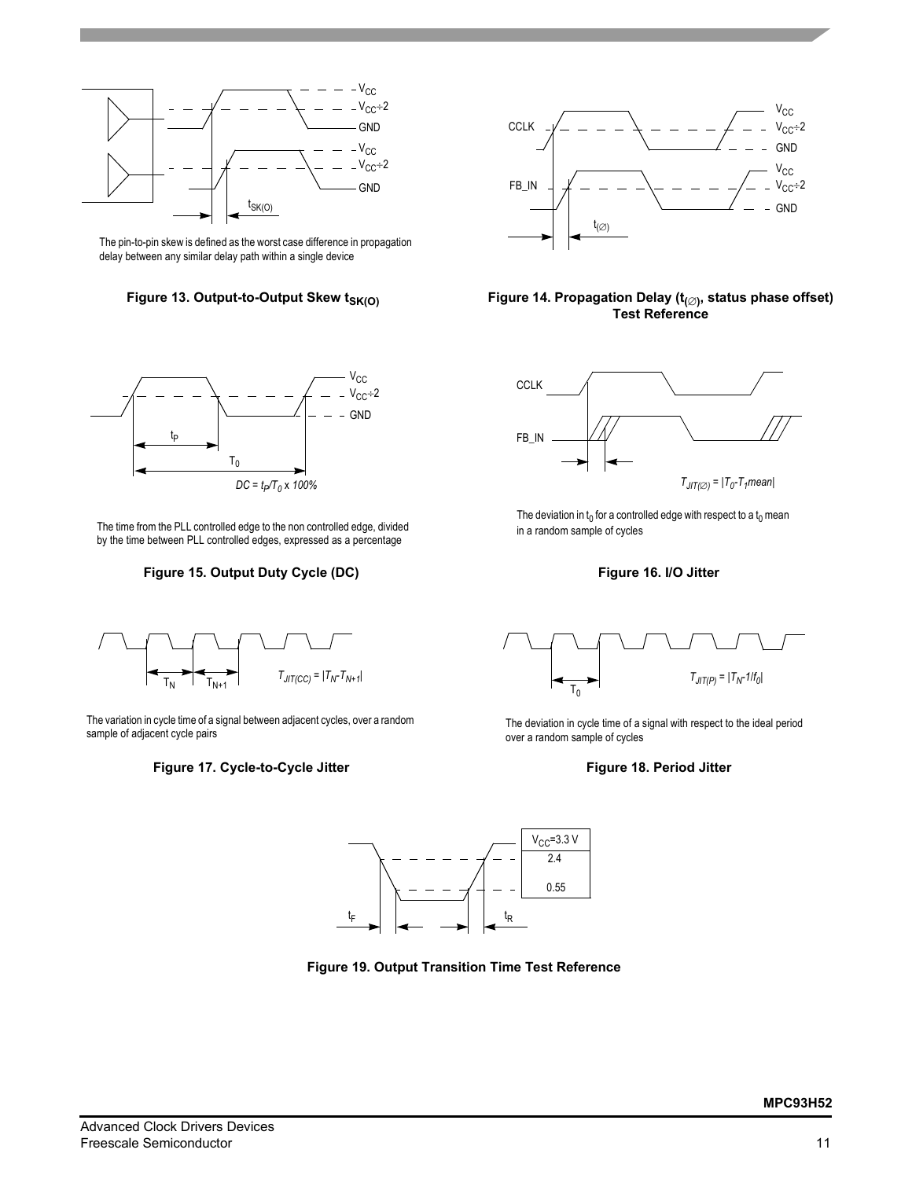

The pin-to-pin skew is defined as the worst case difference in propagation delay between any similar delay path within a single device





The time from the PLL controlled edge to the non controlled edge, divided by the time between PLL controlled edges, expressed as a percentage

## **Figure 15. Output Duty Cycle (DC) Figure 16. I/O Jitter**



The variation in cycle time of a signal between adjacent cycles, over a random sample of adjacent cycle pairs

## **Figure 17. Cycle-to-Cycle Jitter Figure 18. Period Jitter**



# Figure 13. Output-to-Output Skew t<sub>SK(O)</sub> Figure 14. Propagation Delay (t<sub>(∅</sub>), status phase offset) **Test Reference**



The deviation in  $t_0$  for a controlled edge with respect to a  $t_0$  mean in a random sample of cycles



The deviation in cycle time of a signal with respect to the ideal period over a random sample of cycles



**Figure 19. Output Transition Time Test Reference**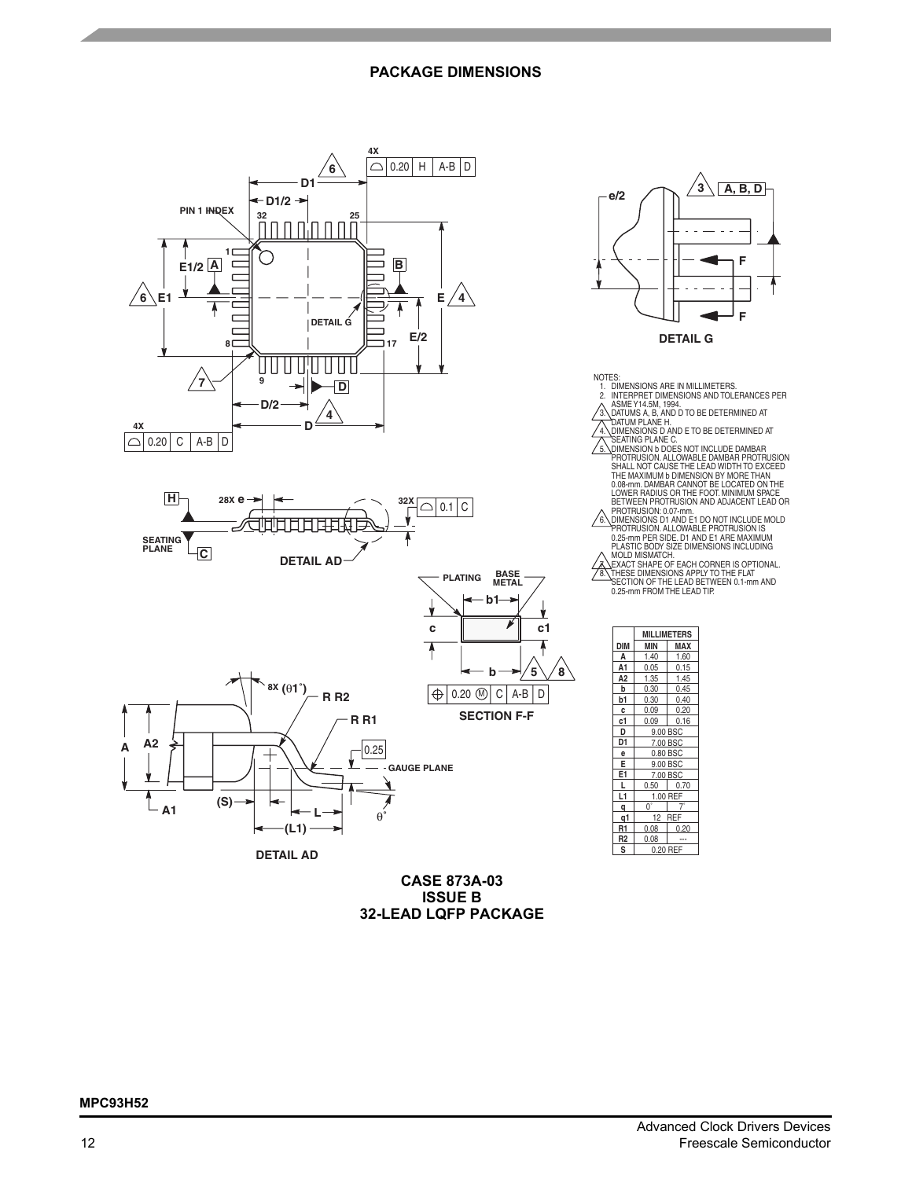# **PACKAGE DIMENSIONS**



**CASE 873A-03 ISSUE B 32-LEAD LQFP PACKAGE** 12 REF

**R1** 0.08 0.20

 $0.08$ 

**L1** 1.00 REF

 $0^\circ$  7

0.20 RE

7.00 BSC

9.00 BSC

0.80 BSC

9.00 BSC

7.00 BSC 0.50 0.70

**DIM MIN MAX MILLIMETERS**

 $\frac{1.40}{0.05}$   $\frac{1.60}{0.15}$  $\begin{array}{|c|c|c|c|}\n\hline\n0.05 & 0.15 \\
\hline\n1.35 & 1.45\n\end{array}$  $1.45$ 0.30 0.45

**DETAIL G**

e/2  $\left(\sqrt{3}\right)\left(\overline{A}, \overline{B}, \overline{D}\right)$ 

**F**

**F**

**b1** 0.30 0.40<br>**c** 0.09 0.20  $\frac{1}{2}$  0.20 **c1** 0.09 0.16

**A A1**

**A2**

**b**

**D D1 e E E1 L**

**R2 S**

**1 q q**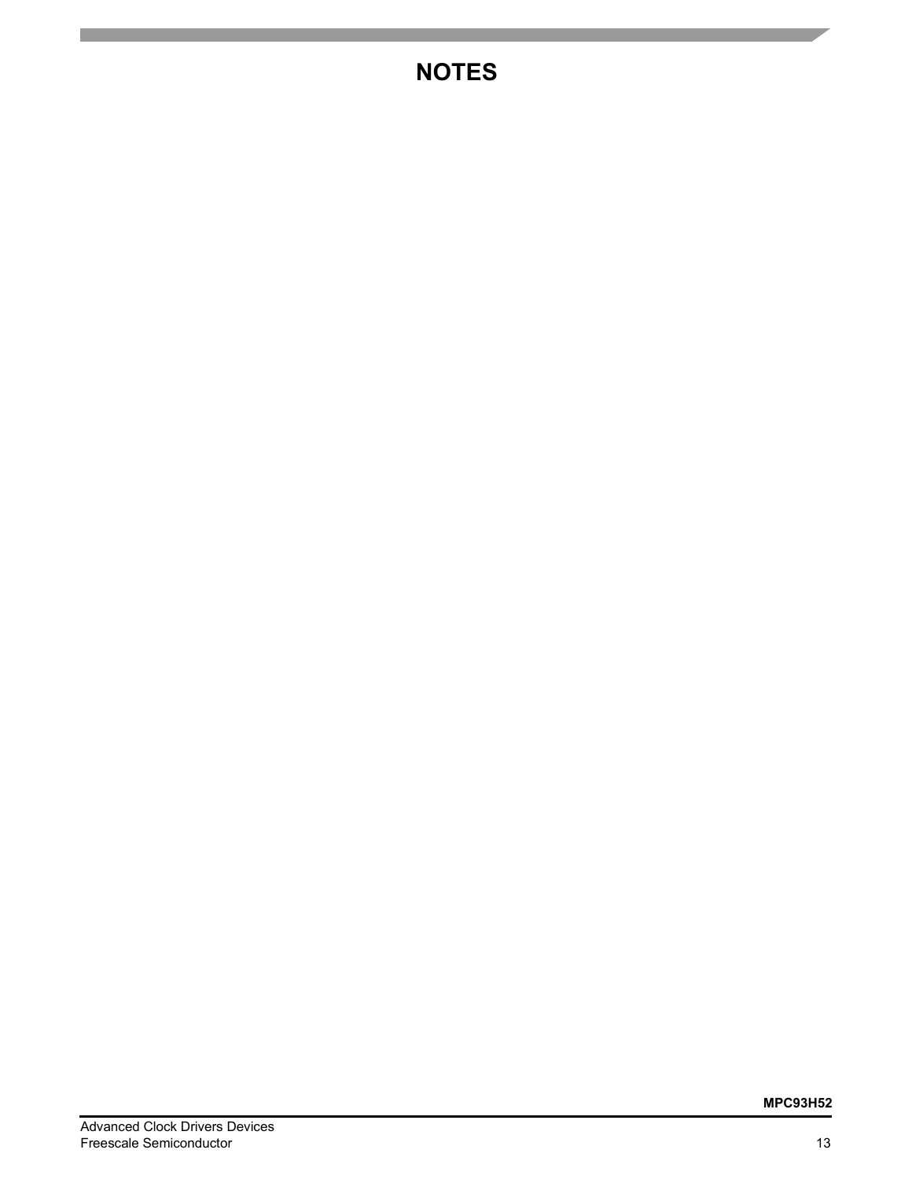# **NOTES**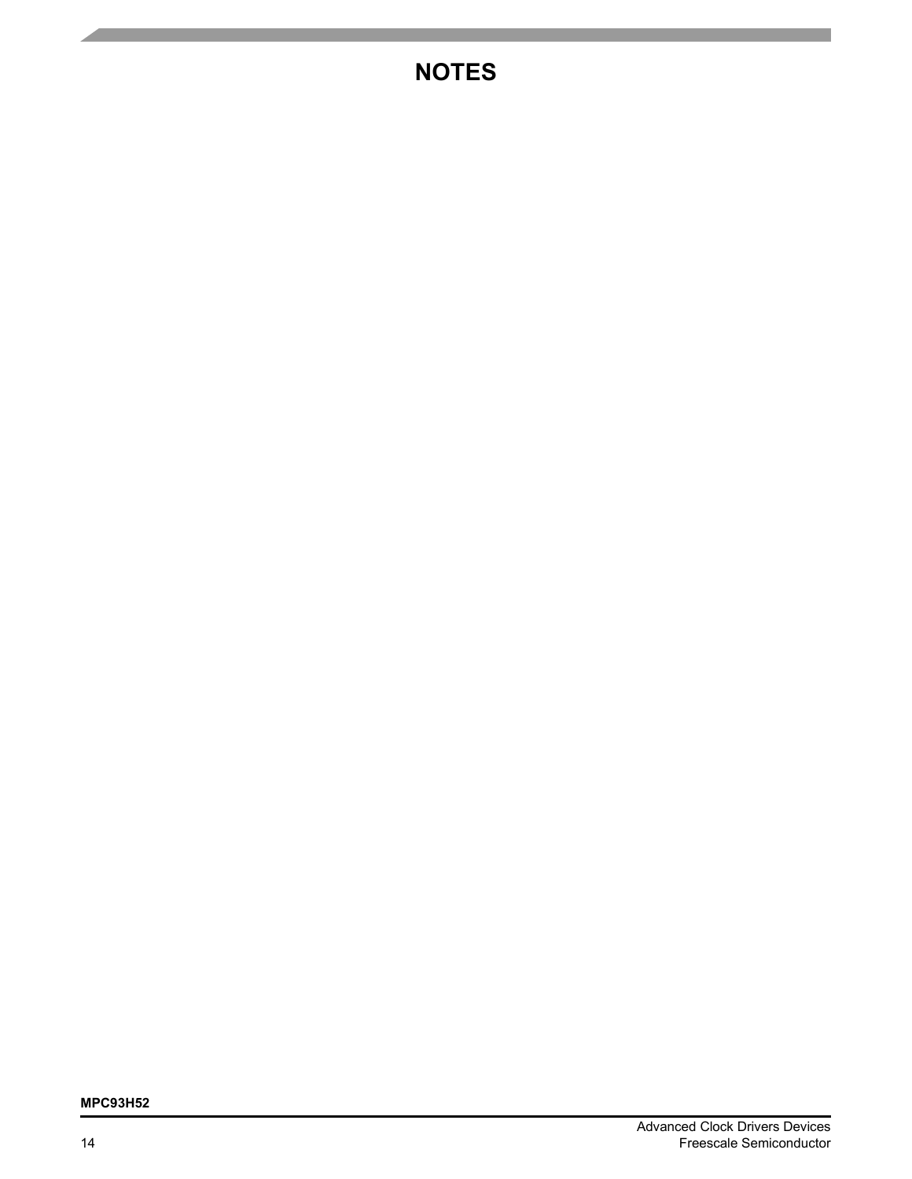# **NOTES**

# **MPC93H52**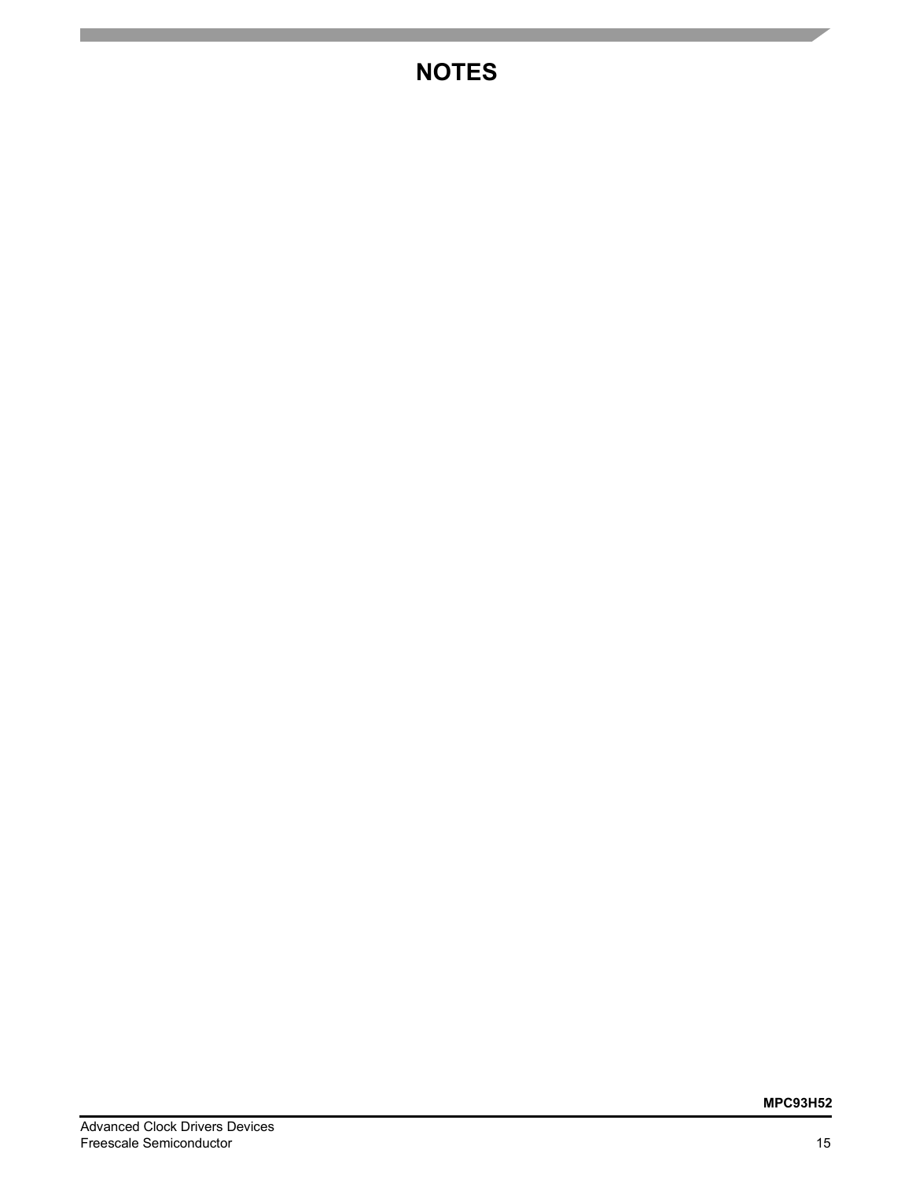# **NOTES**